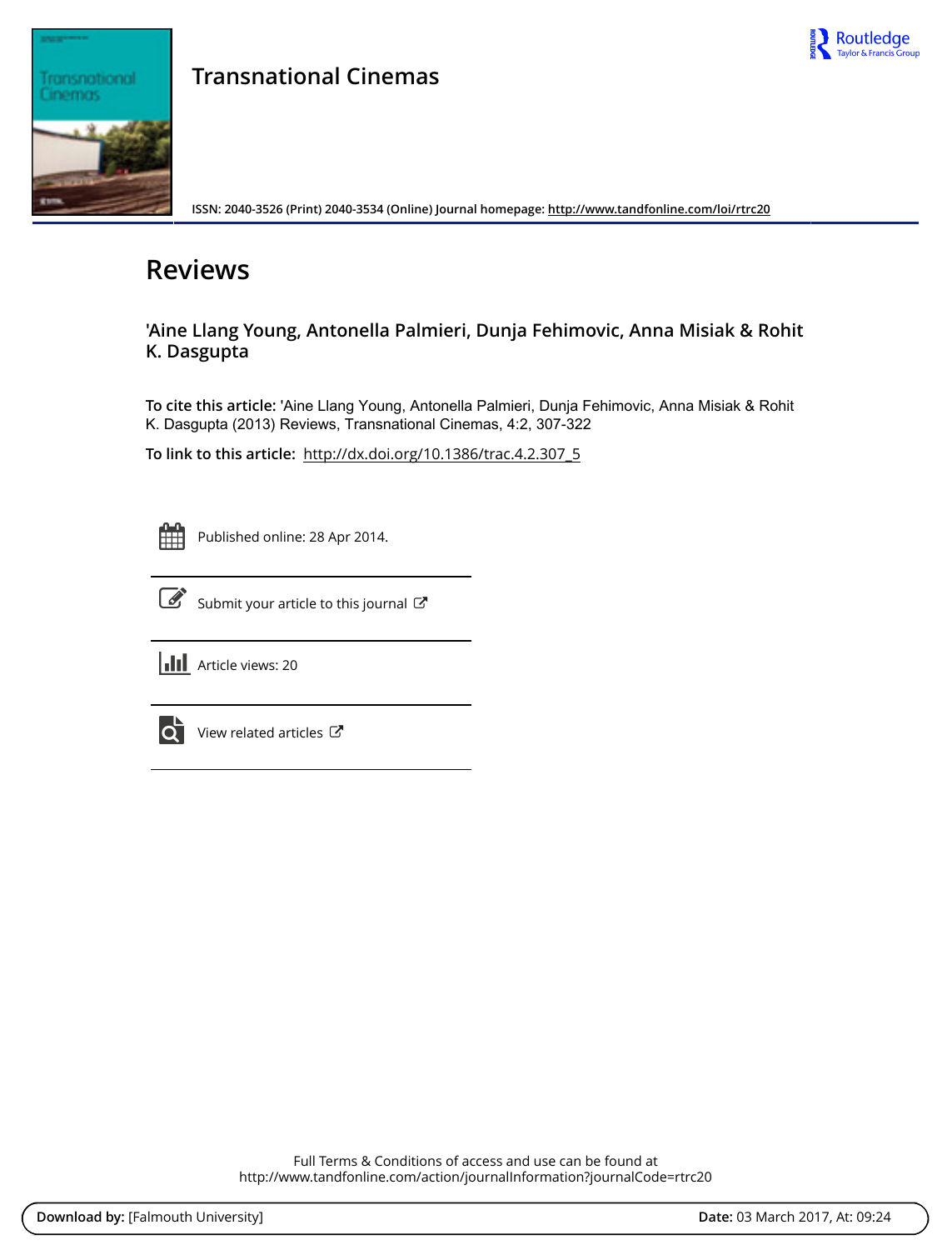



**ISSN: 2040-3526 (Print) 2040-3534 (Online) Journal homepage:<http://www.tandfonline.com/loi/rtrc20>**

# **Reviews**

Transnational Cinemas

## **'Aine Llang Young, Antonella Palmieri, Dunja Fehimovic, Anna Misiak & Rohit K. Dasgupta**

**To cite this article:** 'Aine Llang Young, Antonella Palmieri, Dunja Fehimovic, Anna Misiak & Rohit K. Dasgupta (2013) Reviews, Transnational Cinemas, 4:2, 307-322

**To link to this article:** [http://dx.doi.org/10.1386/trac.4.2.307\\_5](http://dx.doi.org/10.1386/trac.4.2.307_5)



Published online: 28 Apr 2014.



 $\overrightarrow{S}$  [Submit your article to this journal](http://www.tandfonline.com/action/authorSubmission?journalCode=rtrc20&show=instructions)  $\overrightarrow{S}$ 

**III** Article views: 20



 $\overrightarrow{Q}$  [View related articles](http://www.tandfonline.com/doi/mlt/10.1386/trac.4.2.307_5)  $\overrightarrow{C}$ 

Full Terms & Conditions of access and use can be found at <http://www.tandfonline.com/action/journalInformation?journalCode=rtrc20>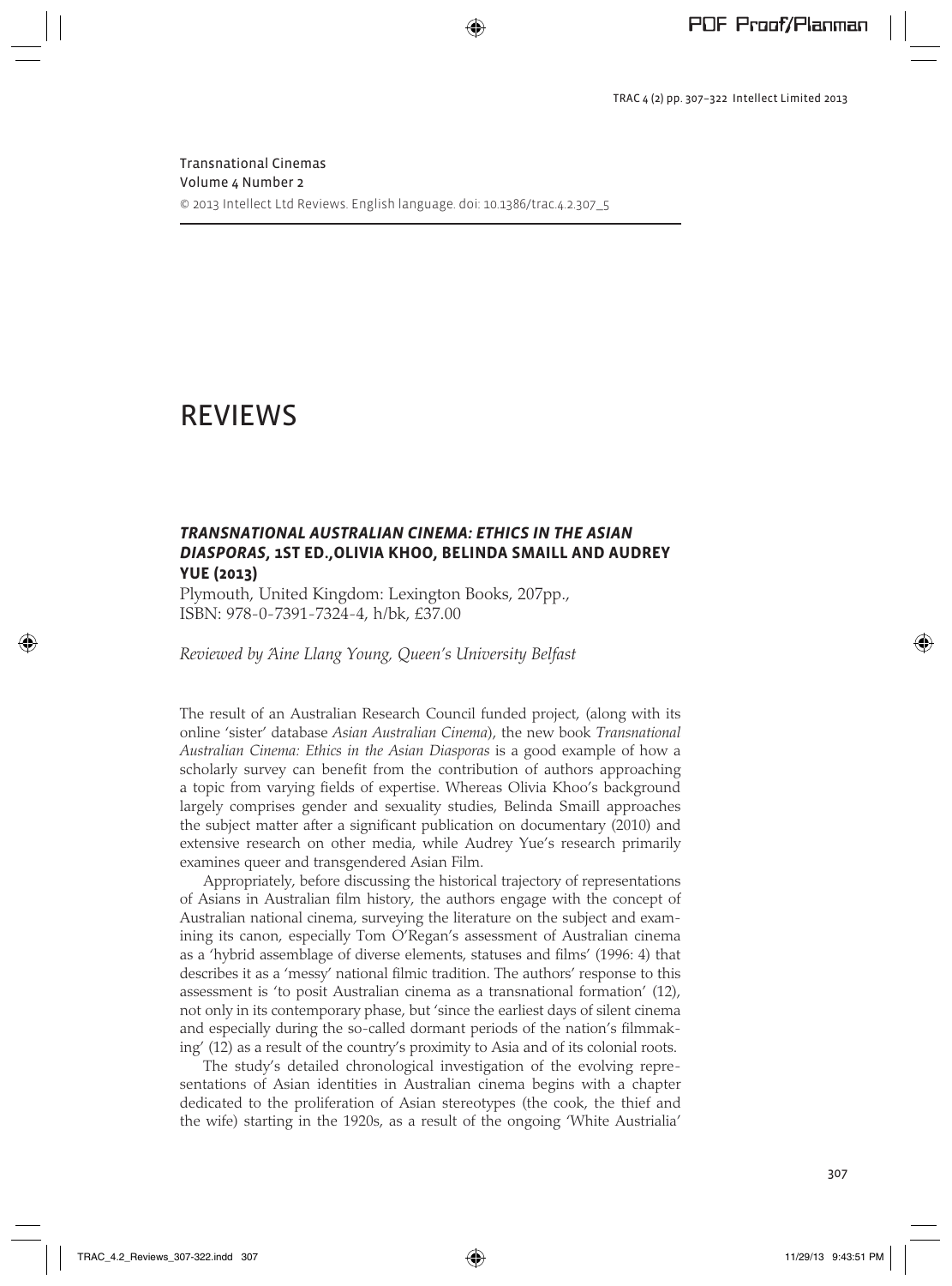# **REVIEWS**

## *Transnational Australian Cinema: Ethics in the Asian Diasporas***, 1st ed.,Olivia Khoo, Belinda Smaill and Audrey Yue (2013)**

Plymouth, United Kingdom: Lexington Books, 207pp., ISBN: 978-0-7391-7324-4, h/bk, £37.00

*Reviewed by* ´*Aine Llang Young, Queen's University Belfast*

The result of an Australian Research Council funded project, (along with its online 'sister' database *Asian Australian Cinema*), the new book *Transnational Australian Cinema: Ethics in the Asian Diasporas* is a good example of how a scholarly survey can benefit from the contribution of authors approaching a topic from varying fields of expertise. Whereas Olivia Khoo's background largely comprises gender and sexuality studies, Belinda Smaill approaches the subject matter after a significant publication on documentary (2010) and extensive research on other media, while Audrey Yue's research primarily examines queer and transgendered Asian Film.

Appropriately, before discussing the historical trajectory of representations of Asians in Australian film history, the authors engage with the concept of Australian national cinema, surveying the literature on the subject and examining its canon, especially Tom O'Regan's assessment of Australian cinema as a 'hybrid assemblage of diverse elements, statuses and films' (1996: 4) that describes it as a 'messy' national filmic tradition. The authors' response to this assessment is 'to posit Australian cinema as a transnational formation' (12), not only in its contemporary phase, but 'since the earliest days of silent cinema and especially during the so-called dormant periods of the nation's filmmaking' (12) as a result of the country's proximity to Asia and of its colonial roots.

The study's detailed chronological investigation of the evolving representations of Asian identities in Australian cinema begins with a chapter dedicated to the proliferation of Asian stereotypes (the cook, the thief and the wife) starting in the 1920s, as a result of the ongoing 'White Austrialia'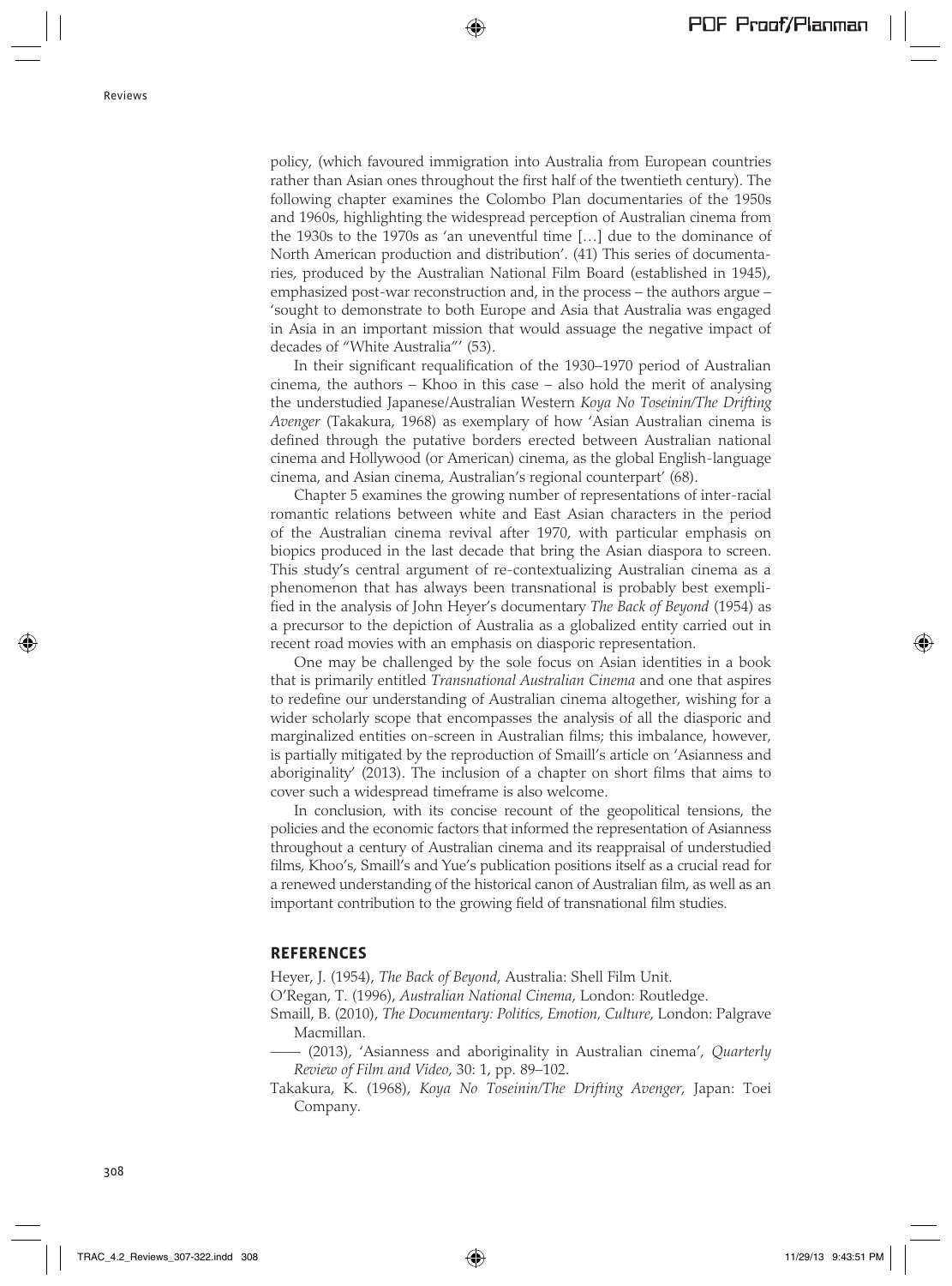policy, (which favoured immigration into Australia from European countries rather than Asian ones throughout the first half of the twentieth century). The following chapter examines the Colombo Plan documentaries of the 1950s and 1960s, highlighting the widespread perception of Australian cinema from the 1930s to the 1970s as 'an uneventful time […] due to the dominance of North American production and distribution'. (41) This series of documentaries, produced by the Australian National Film Board (established in 1945), emphasized post-war reconstruction and, in the process – the authors argue – 'sought to demonstrate to both Europe and Asia that Australia was engaged in Asia in an important mission that would assuage the negative impact of decades of "White Australia"' (53).

In their significant requalification of the 1930–1970 period of Australian cinema, the authors – Khoo in this case – also hold the merit of analysing the understudied Japanese/Australian Western *Koya No Toseinin/The Drifting Avenger* (Takakura, 1968) as exemplary of how 'Asian Australian cinema is defined through the putative borders erected between Australian national cinema and Hollywood (or American) cinema, as the global English-language cinema, and Asian cinema, Australian's regional counterpart' (68).

Chapter 5 examines the growing number of representations of inter-racial romantic relations between white and East Asian characters in the period of the Australian cinema revival after 1970, with particular emphasis on biopics produced in the last decade that bring the Asian diaspora to screen. This study's central argument of re-contextualizing Australian cinema as a phenomenon that has always been transnational is probably best exemplified in the analysis of John Heyer's documentary *The Back of Beyond* (1954) as a precursor to the depiction of Australia as a globalized entity carried out in recent road movies with an emphasis on diasporic representation.

One may be challenged by the sole focus on Asian identities in a book that is primarily entitled *Transnational Australian Cinema* and one that aspires to redefine our understanding of Australian cinema altogether, wishing for a wider scholarly scope that encompasses the analysis of all the diasporic and marginalized entities on-screen in Australian films; this imbalance, however, is partially mitigated by the reproduction of Smaill's article on 'Asianness and aboriginality' (2013). The inclusion of a chapter on short films that aims to cover such a widespread timeframe is also welcome.

In conclusion, with its concise recount of the geopolitical tensions, the policies and the economic factors that informed the representation of Asianness throughout a century of Australian cinema and its reappraisal of understudied films, Khoo's, Smaill's and Yue's publication positions itself as a crucial read for a renewed understanding of the historical canon of Australian film, as well as an important contribution to the growing field of transnational film studies.

#### **References**

Heyer, J. (1954), *The Back of Beyond*, Australia: Shell Film Unit.

O'Regan, T. (1996), *Australian National Cinema*, London: Routledge.

- Smaill, B. (2010), *The Documentary: Politics, Emotion, Culture*, London: Palgrave Macmillan.
	- —— (2013), 'Asianness and aboriginality in Australian cinema', *Quarterly Review of Film and Video*, 30: 1, pp. 89–102.
- Takakura, K. (1968), *Koya No Toseinin/The Drifting Avenger*, Japan: Toei Company.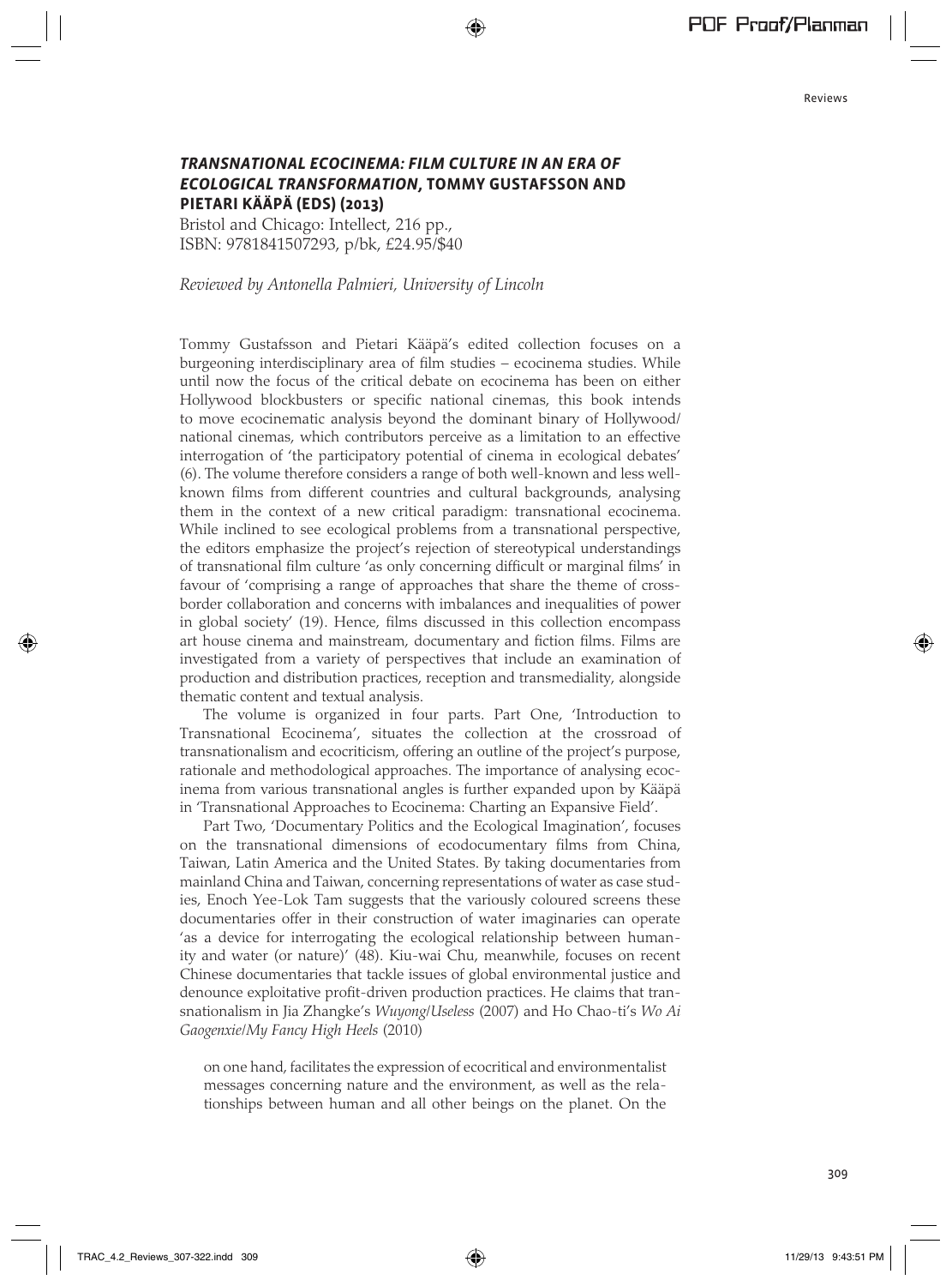## *Transnational Ecocinema: Film Culture in an Era of Ecological Transformation***, Tommy Gustafsson and Pietari Kääpä (eds) (2013)**

Bristol and Chicago: Intellect, 216 pp., ISBN: 9781841507293, p/bk, £24.95/\$40

*Reviewed by Antonella Palmieri, University of Lincoln*

Tommy Gustafsson and Pietari Kääpä's edited collection focuses on a burgeoning interdisciplinary area of film studies – ecocinema studies. While until now the focus of the critical debate on ecocinema has been on either Hollywood blockbusters or specific national cinemas, this book intends to move ecocinematic analysis beyond the dominant binary of Hollywood/ national cinemas, which contributors perceive as a limitation to an effective interrogation of 'the participatory potential of cinema in ecological debates' (6). The volume therefore considers a range of both well-known and less wellknown films from different countries and cultural backgrounds, analysing them in the context of a new critical paradigm: transnational ecocinema. While inclined to see ecological problems from a transnational perspective, the editors emphasize the project's rejection of stereotypical understandings of transnational film culture 'as only concerning difficult or marginal films' in favour of 'comprising a range of approaches that share the theme of crossborder collaboration and concerns with imbalances and inequalities of power in global society' (19). Hence, films discussed in this collection encompass art house cinema and mainstream, documentary and fiction films. Films are investigated from a variety of perspectives that include an examination of production and distribution practices, reception and transmediality, alongside thematic content and textual analysis.

The volume is organized in four parts. Part One, 'Introduction to Transnational Ecocinema', situates the collection at the crossroad of transnationalism and ecocriticism, offering an outline of the project's purpose, rationale and methodological approaches. The importance of analysing ecocinema from various transnational angles is further expanded upon by Kääpä in 'Transnational Approaches to Ecocinema: Charting an Expansive Field'.

Part Two, 'Documentary Politics and the Ecological Imagination', focuses on the transnational dimensions of ecodocumentary films from China, Taiwan, Latin America and the United States. By taking documentaries from mainland China and Taiwan, concerning representations of water as case studies, Enoch Yee-Lok Tam suggests that the variously coloured screens these documentaries offer in their construction of water imaginaries can operate 'as a device for interrogating the ecological relationship between humanity and water (or nature)' (48). Kiu-wai Chu, meanwhile, focuses on recent Chinese documentaries that tackle issues of global environmental justice and denounce exploitative profit-driven production practices. He claims that transnationalism in Jia Zhangke's *Wuyong*/*Useless* (2007) and Ho Chao-ti's *Wo Ai Gaogenxie*/*My Fancy High Heels* (2010)

on one hand, facilitates the expression of ecocritical and environmentalist messages concerning nature and the environment, as well as the relationships between human and all other beings on the planet. On the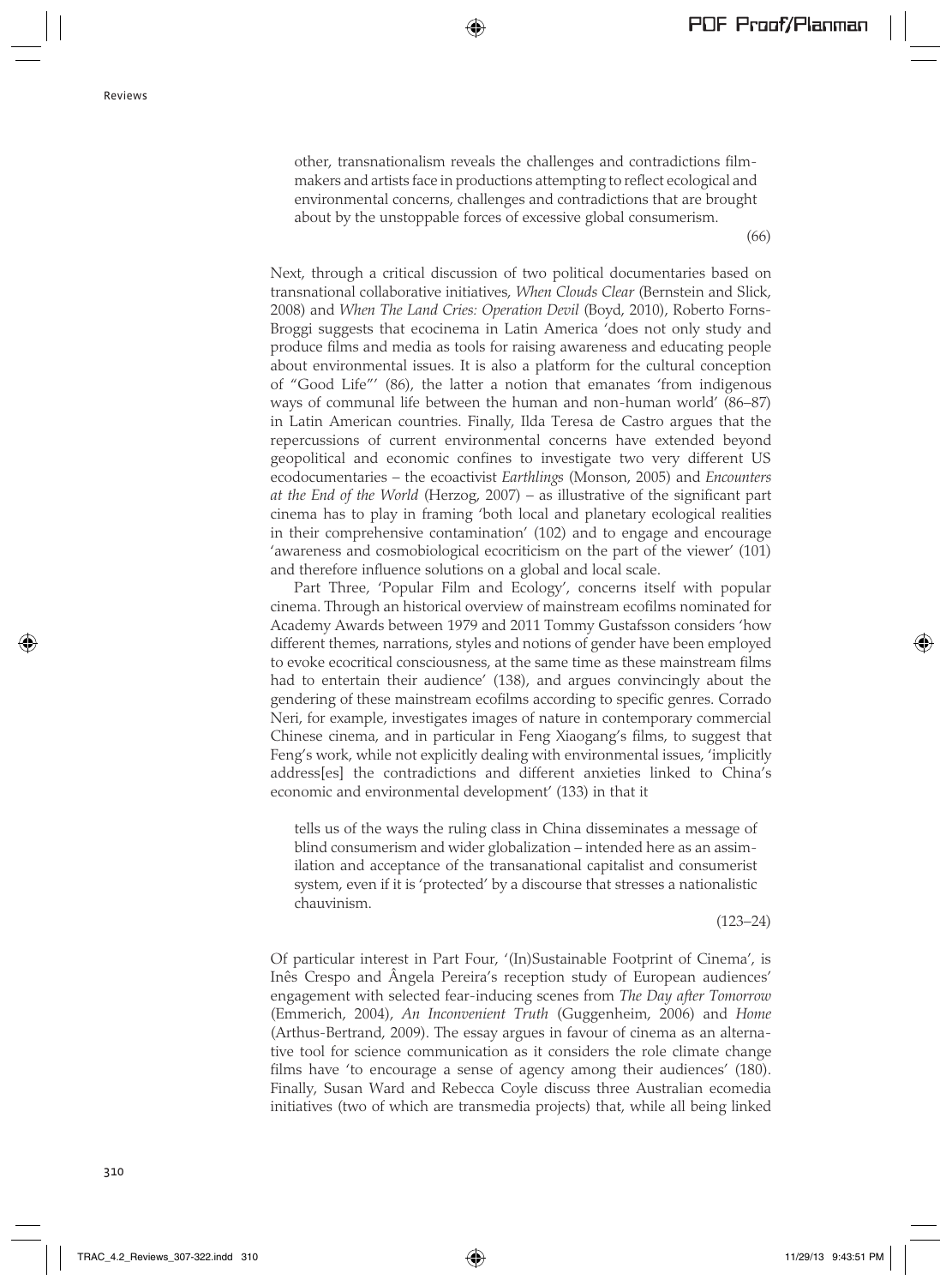other, transnationalism reveals the challenges and contradictions filmmakers and artists face in productions attempting to reflect ecological and environmental concerns, challenges and contradictions that are brought about by the unstoppable forces of excessive global consumerism.

(66)

Next, through a critical discussion of two political documentaries based on transnational collaborative initiatives, *When Clouds Clear* (Bernstein and Slick, 2008) and *When The Land Cries: Operation Devil* (Boyd, 2010), Roberto Forns-Broggi suggests that ecocinema in Latin America 'does not only study and produce films and media as tools for raising awareness and educating people about environmental issues. It is also a platform for the cultural conception of "Good Life"' (86), the latter a notion that emanates 'from indigenous ways of communal life between the human and non-human world' (86–87) in Latin American countries. Finally, Ilda Teresa de Castro argues that the repercussions of current environmental concerns have extended beyond geopolitical and economic confines to investigate two very different US ecodocumentaries – the ecoactivist *Earthlings* (Monson, 2005) and *Encounters at the End of the World* (Herzog, 2007) – as illustrative of the significant part cinema has to play in framing 'both local and planetary ecological realities in their comprehensive contamination' (102) and to engage and encourage 'awareness and cosmobiological ecocriticism on the part of the viewer' (101) and therefore influence solutions on a global and local scale.

Part Three, 'Popular Film and Ecology', concerns itself with popular cinema. Through an historical overview of mainstream ecofilms nominated for Academy Awards between 1979 and 2011 Tommy Gustafsson considers 'how different themes, narrations, styles and notions of gender have been employed to evoke ecocritical consciousness, at the same time as these mainstream films had to entertain their audience' (138), and argues convincingly about the gendering of these mainstream ecofilms according to specific genres. Corrado Neri, for example, investigates images of nature in contemporary commercial Chinese cinema, and in particular in Feng Xiaogang's films, to suggest that Feng's work, while not explicitly dealing with environmental issues, 'implicitly address[es] the contradictions and different anxieties linked to China's economic and environmental development' (133) in that it

tells us of the ways the ruling class in China disseminates a message of blind consumerism and wider globalization – intended here as an assimilation and acceptance of the transanational capitalist and consumerist system, even if it is 'protected' by a discourse that stresses a nationalistic chauvinism.

(123–24)

Of particular interest in Part Four, '(In)Sustainable Footprint of Cinema', is Inês Crespo and Ângela Pereira's reception study of European audiences' engagement with selected fear-inducing scenes from *The Day after Tomorrow* (Emmerich, 2004), *An Inconvenient Truth* (Guggenheim, 2006) and *Home* (Arthus-Bertrand, 2009). The essay argues in favour of cinema as an alternative tool for science communication as it considers the role climate change films have 'to encourage a sense of agency among their audiences' (180). Finally, Susan Ward and Rebecca Coyle discuss three Australian ecomedia initiatives (two of which are transmedia projects) that, while all being linked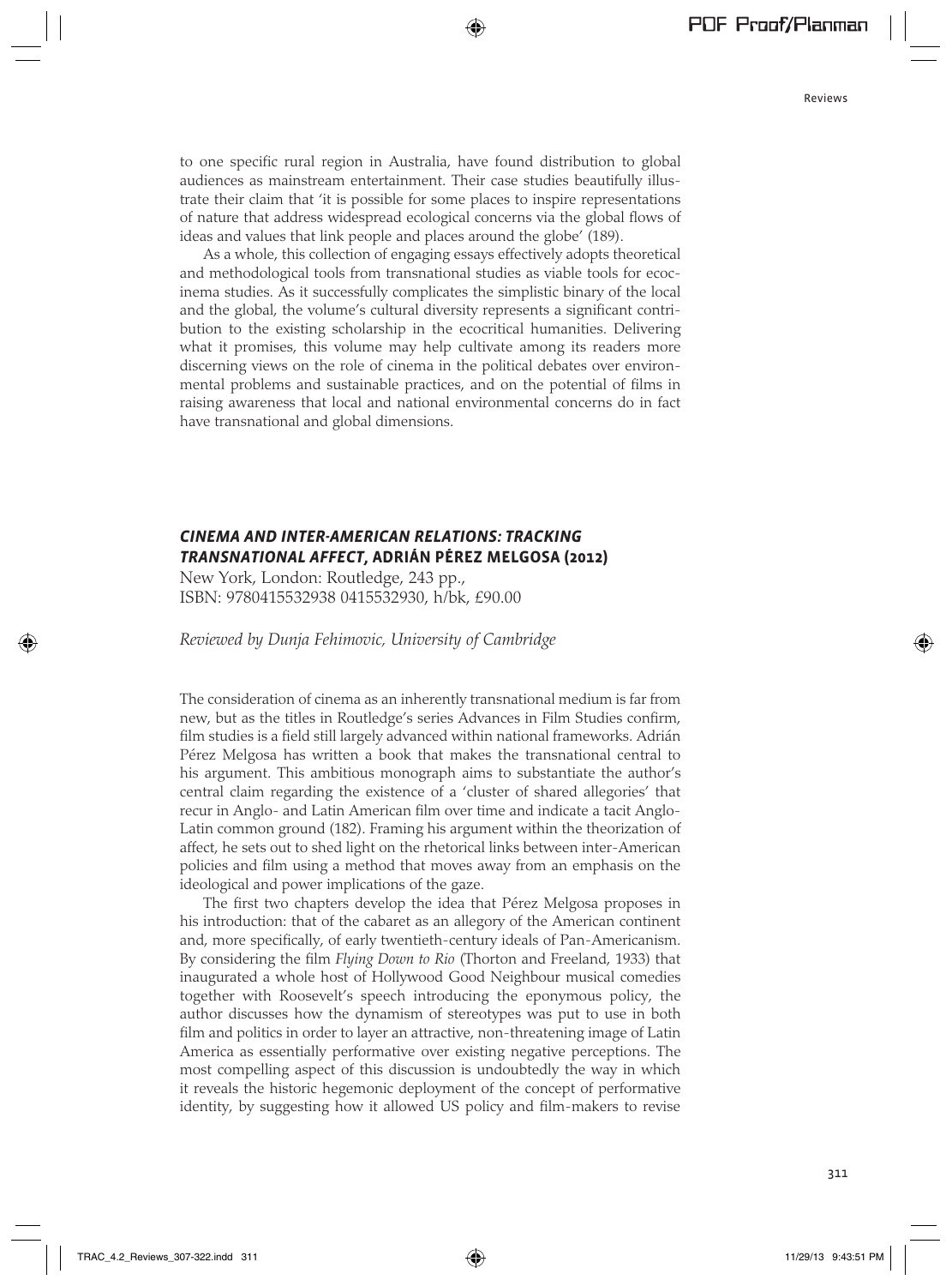to one specific rural region in Australia, have found distribution to global audiences as mainstream entertainment. Their case studies beautifully illustrate their claim that 'it is possible for some places to inspire representations of nature that address widespread ecological concerns via the global flows of ideas and values that link people and places around the globe' (189).

As a whole, this collection of engaging essays effectively adopts theoretical and methodological tools from transnational studies as viable tools for ecocinema studies. As it successfully complicates the simplistic binary of the local and the global, the volume's cultural diversity represents a significant contribution to the existing scholarship in the ecocritical humanities. Delivering what it promises, this volume may help cultivate among its readers more discerning views on the role of cinema in the political debates over environmental problems and sustainable practices, and on the potential of films in raising awareness that local and national environmental concerns do in fact have transnational and global dimensions.

## *Cinema and Inter-American Relations: Tracking Transnational Affect***, Adrián Pérez Melgosa (2012)**

New York, London: Routledge, 243 pp., ISBN: 9780415532938 0415532930, h/bk, £90.00

*Reviewed by Dunja Fehimovic, University of Cambridge*

The consideration of cinema as an inherently transnational medium is far from new, but as the titles in Routledge's series Advances in Film Studies confirm, film studies is a field still largely advanced within national frameworks. Adrián Pérez Melgosa has written a book that makes the transnational central to his argument. This ambitious monograph aims to substantiate the author's central claim regarding the existence of a 'cluster of shared allegories' that recur in Anglo- and Latin American film over time and indicate a tacit Anglo-Latin common ground (182). Framing his argument within the theorization of affect, he sets out to shed light on the rhetorical links between inter-American policies and film using a method that moves away from an emphasis on the ideological and power implications of the gaze.

The first two chapters develop the idea that Pérez Melgosa proposes in his introduction: that of the cabaret as an allegory of the American continent and, more specifically, of early twentieth-century ideals of Pan-Americanism. By considering the film *Flying Down to Rio* (Thorton and Freeland, 1933) that inaugurated a whole host of Hollywood Good Neighbour musical comedies together with Roosevelt's speech introducing the eponymous policy, the author discusses how the dynamism of stereotypes was put to use in both film and politics in order to layer an attractive, non-threatening image of Latin America as essentially performative over existing negative perceptions. The most compelling aspect of this discussion is undoubtedly the way in which it reveals the historic hegemonic deployment of the concept of performative identity, by suggesting how it allowed US policy and film-makers to revise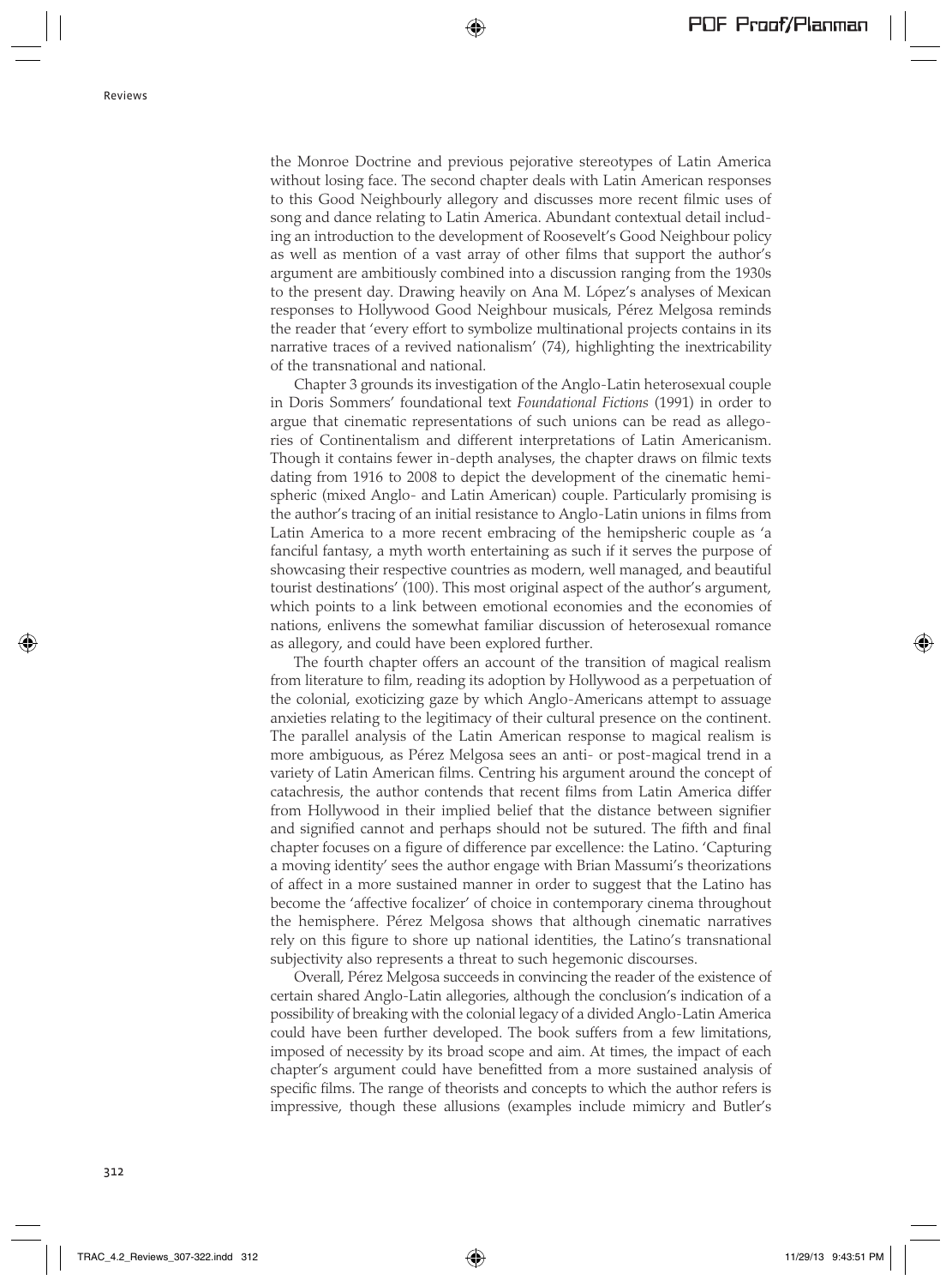the Monroe Doctrine and previous pejorative stereotypes of Latin America without losing face. The second chapter deals with Latin American responses to this Good Neighbourly allegory and discusses more recent filmic uses of song and dance relating to Latin America. Abundant contextual detail including an introduction to the development of Roosevelt's Good Neighbour policy as well as mention of a vast array of other films that support the author's argument are ambitiously combined into a discussion ranging from the 1930s to the present day. Drawing heavily on Ana M. López's analyses of Mexican responses to Hollywood Good Neighbour musicals, Pérez Melgosa reminds the reader that 'every effort to symbolize multinational projects contains in its narrative traces of a revived nationalism' (74), highlighting the inextricability of the transnational and national.

Chapter 3 grounds its investigation of the Anglo-Latin heterosexual couple in Doris Sommers' foundational text *Foundational Fictions* (1991) in order to argue that cinematic representations of such unions can be read as allegories of Continentalism and different interpretations of Latin Americanism. Though it contains fewer in-depth analyses, the chapter draws on filmic texts dating from 1916 to 2008 to depict the development of the cinematic hemispheric (mixed Anglo- and Latin American) couple. Particularly promising is the author's tracing of an initial resistance to Anglo-Latin unions in films from Latin America to a more recent embracing of the hemipsheric couple as 'a fanciful fantasy, a myth worth entertaining as such if it serves the purpose of showcasing their respective countries as modern, well managed, and beautiful tourist destinations' (100). This most original aspect of the author's argument, which points to a link between emotional economies and the economies of nations, enlivens the somewhat familiar discussion of heterosexual romance as allegory, and could have been explored further.

The fourth chapter offers an account of the transition of magical realism from literature to film, reading its adoption by Hollywood as a perpetuation of the colonial, exoticizing gaze by which Anglo-Americans attempt to assuage anxieties relating to the legitimacy of their cultural presence on the continent. The parallel analysis of the Latin American response to magical realism is more ambiguous, as Pérez Melgosa sees an anti- or post-magical trend in a variety of Latin American films. Centring his argument around the concept of catachresis, the author contends that recent films from Latin America differ from Hollywood in their implied belief that the distance between signifier and signified cannot and perhaps should not be sutured. The fifth and final chapter focuses on a figure of difference par excellence: the Latino. 'Capturing a moving identity' sees the author engage with Brian Massumi's theorizations of affect in a more sustained manner in order to suggest that the Latino has become the 'affective focalizer' of choice in contemporary cinema throughout the hemisphere. Pérez Melgosa shows that although cinematic narratives rely on this figure to shore up national identities, the Latino's transnational subjectivity also represents a threat to such hegemonic discourses.

Overall, Pérez Melgosa succeeds in convincing the reader of the existence of certain shared Anglo-Latin allegories, although the conclusion's indication of a possibility of breaking with the colonial legacy of a divided Anglo-Latin America could have been further developed. The book suffers from a few limitations, imposed of necessity by its broad scope and aim. At times, the impact of each chapter's argument could have benefitted from a more sustained analysis of specific films. The range of theorists and concepts to which the author refers is impressive, though these allusions (examples include mimicry and Butler's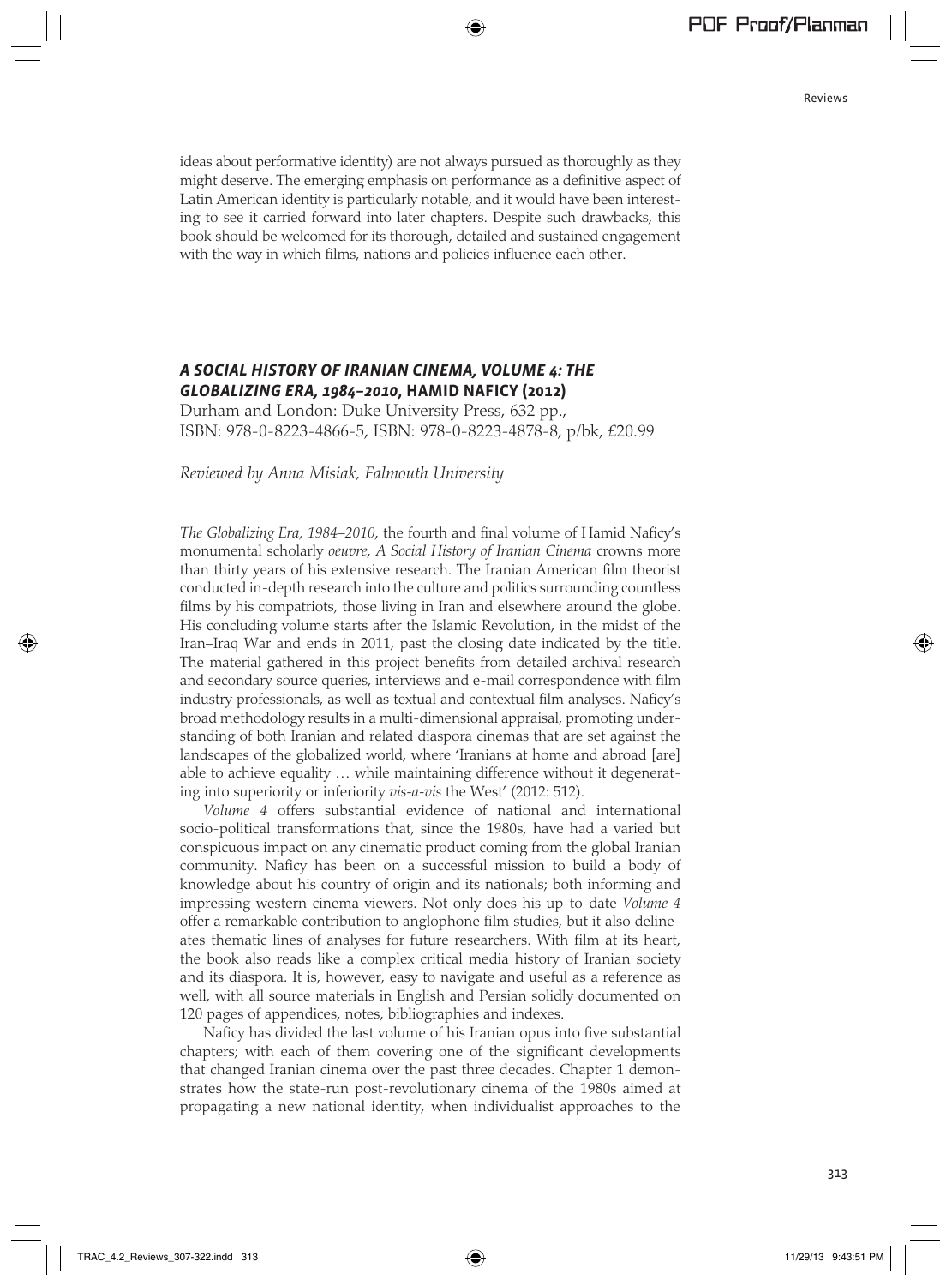ideas about performative identity) are not always pursued as thoroughly as they might deserve. The emerging emphasis on performance as a definitive aspect of Latin American identity is particularly notable, and it would have been interesting to see it carried forward into later chapters. Despite such drawbacks, this book should be welcomed for its thorough, detailed and sustained engagement with the way in which films, nations and policies influence each other.

### *A Social History of Iranian Cinema, Volume 4: The Globalizing Era, 1984–2010***, Hamid Naficy (2012)**

Durham and London: Duke University Press, 632 pp., ISBN: 978-0-8223-4866-5, ISBN: 978-0-8223-4878-8, p/bk, £20.99

#### *Reviewed by Anna Misiak, Falmouth University*

*The Globalizing Era, 1984–2010*, the fourth and final volume of Hamid Naficy's monumental scholarly *oeuvre*, *A Social History of Iranian Cinema* crowns more than thirty years of his extensive research. The Iranian American film theorist conducted in-depth research into the culture and politics surrounding countless films by his compatriots, those living in Iran and elsewhere around the globe. His concluding volume starts after the Islamic Revolution, in the midst of the Iran–Iraq War and ends in 2011, past the closing date indicated by the title. The material gathered in this project benefits from detailed archival research and secondary source queries, interviews and e-mail correspondence with film industry professionals, as well as textual and contextual film analyses. Naficy's broad methodology results in a multi-dimensional appraisal, promoting understanding of both Iranian and related diaspora cinemas that are set against the landscapes of the globalized world, where 'Iranians at home and abroad [are] able to achieve equality … while maintaining difference without it degenerating into superiority or inferiority *vis-a-vis* the West' (2012: 512).

*Volume 4* offers substantial evidence of national and international socio-political transformations that, since the 1980s, have had a varied but conspicuous impact on any cinematic product coming from the global Iranian community. Naficy has been on a successful mission to build a body of knowledge about his country of origin and its nationals; both informing and impressing western cinema viewers. Not only does his up-to-date *Volume 4* offer a remarkable contribution to anglophone film studies, but it also delineates thematic lines of analyses for future researchers. With film at its heart, the book also reads like a complex critical media history of Iranian society and its diaspora. It is, however, easy to navigate and useful as a reference as well, with all source materials in English and Persian solidly documented on 120 pages of appendices, notes, bibliographies and indexes.

Naficy has divided the last volume of his Iranian opus into five substantial chapters; with each of them covering one of the significant developments that changed Iranian cinema over the past three decades. Chapter 1 demonstrates how the state-run post-revolutionary cinema of the 1980s aimed at propagating a new national identity, when individualist approaches to the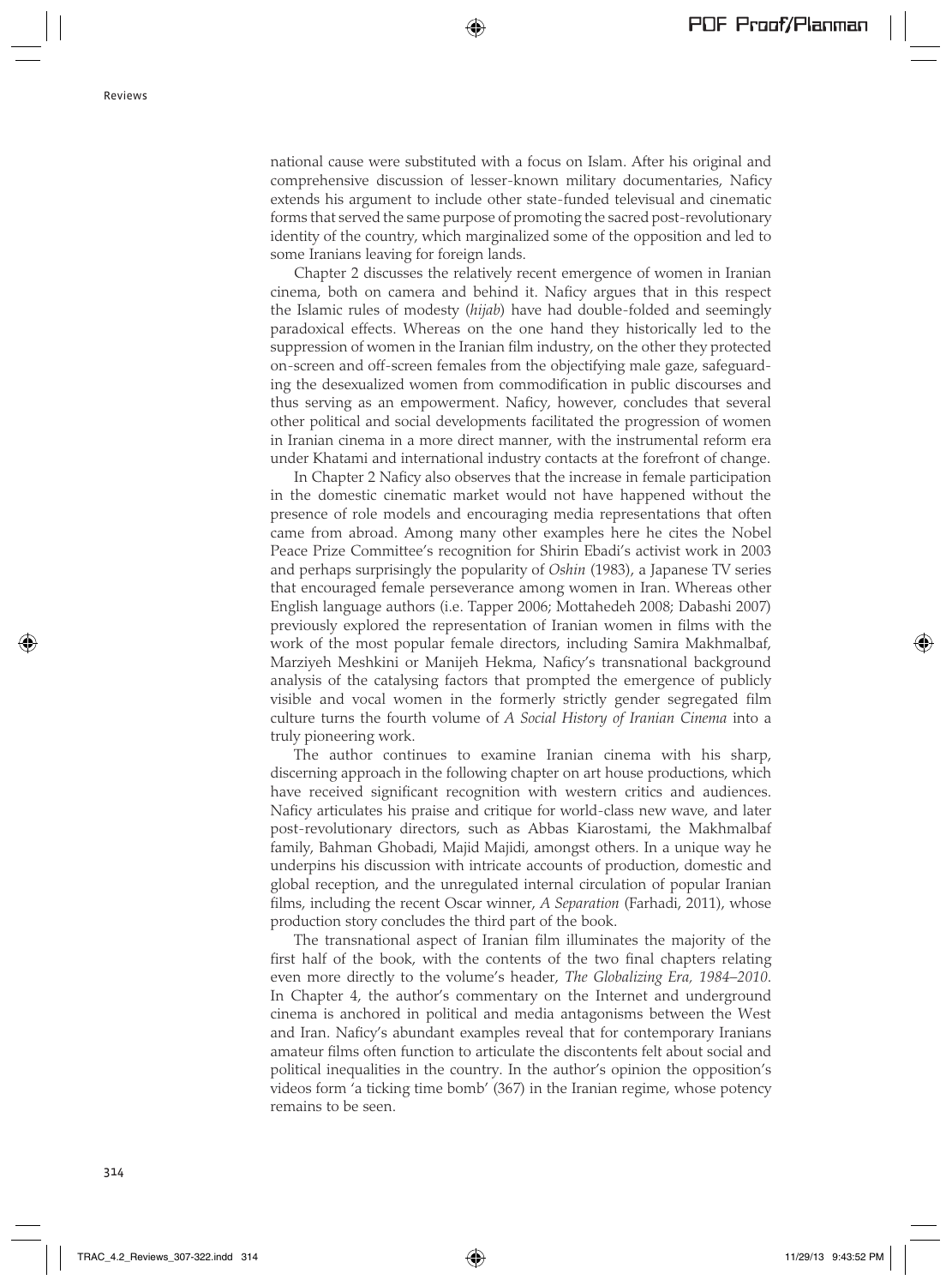national cause were substituted with a focus on Islam. After his original and comprehensive discussion of lesser-known military documentaries, Naficy extends his argument to include other state-funded televisual and cinematic forms that served the same purpose of promoting the sacred post-revolutionary identity of the country, which marginalized some of the opposition and led to some Iranians leaving for foreign lands.

Chapter 2 discusses the relatively recent emergence of women in Iranian cinema, both on camera and behind it. Naficy argues that in this respect the Islamic rules of modesty (*hijab*) have had double-folded and seemingly paradoxical effects. Whereas on the one hand they historically led to the suppression of women in the Iranian film industry, on the other they protected on-screen and off-screen females from the objectifying male gaze, safeguarding the desexualized women from commodification in public discourses and thus serving as an empowerment. Naficy, however, concludes that several other political and social developments facilitated the progression of women in Iranian cinema in a more direct manner, with the instrumental reform era under Khatami and international industry contacts at the forefront of change.

In Chapter 2 Naficy also observes that the increase in female participation in the domestic cinematic market would not have happened without the presence of role models and encouraging media representations that often came from abroad. Among many other examples here he cites the Nobel Peace Prize Committee's recognition for Shirin Ebadi's activist work in 2003 and perhaps surprisingly the popularity of *Oshin* (1983), a Japanese TV series that encouraged female perseverance among women in Iran. Whereas other English language authors (i.e. Tapper 2006; Mottahedeh 2008; Dabashi 2007) previously explored the representation of Iranian women in films with the work of the most popular female directors, including Samira Makhmalbaf, Marziyeh Meshkini or Manijeh Hekma, Naficy's transnational background analysis of the catalysing factors that prompted the emergence of publicly visible and vocal women in the formerly strictly gender segregated film culture turns the fourth volume of *A Social History of Iranian Cinema* into a truly pioneering work.

The author continues to examine Iranian cinema with his sharp, discerning approach in the following chapter on art house productions, which have received significant recognition with western critics and audiences. Naficy articulates his praise and critique for world-class new wave, and later post-revolutionary directors, such as Abbas Kiarostami, the Makhmalbaf family, Bahman Ghobadi, Majid Majidi, amongst others. In a unique way he underpins his discussion with intricate accounts of production, domestic and global reception, and the unregulated internal circulation of popular Iranian films, including the recent Oscar winner, *A Separation* (Farhadi, 2011), whose production story concludes the third part of the book.

The transnational aspect of Iranian film illuminates the majority of the first half of the book, with the contents of the two final chapters relating even more directly to the volume's header, *The Globalizing Era, 1984–2010*. In Chapter 4, the author's commentary on the Internet and underground cinema is anchored in political and media antagonisms between the West and Iran. Naficy's abundant examples reveal that for contemporary Iranians amateur films often function to articulate the discontents felt about social and political inequalities in the country. In the author's opinion the opposition's videos form 'a ticking time bomb' (367) in the Iranian regime, whose potency remains to be seen.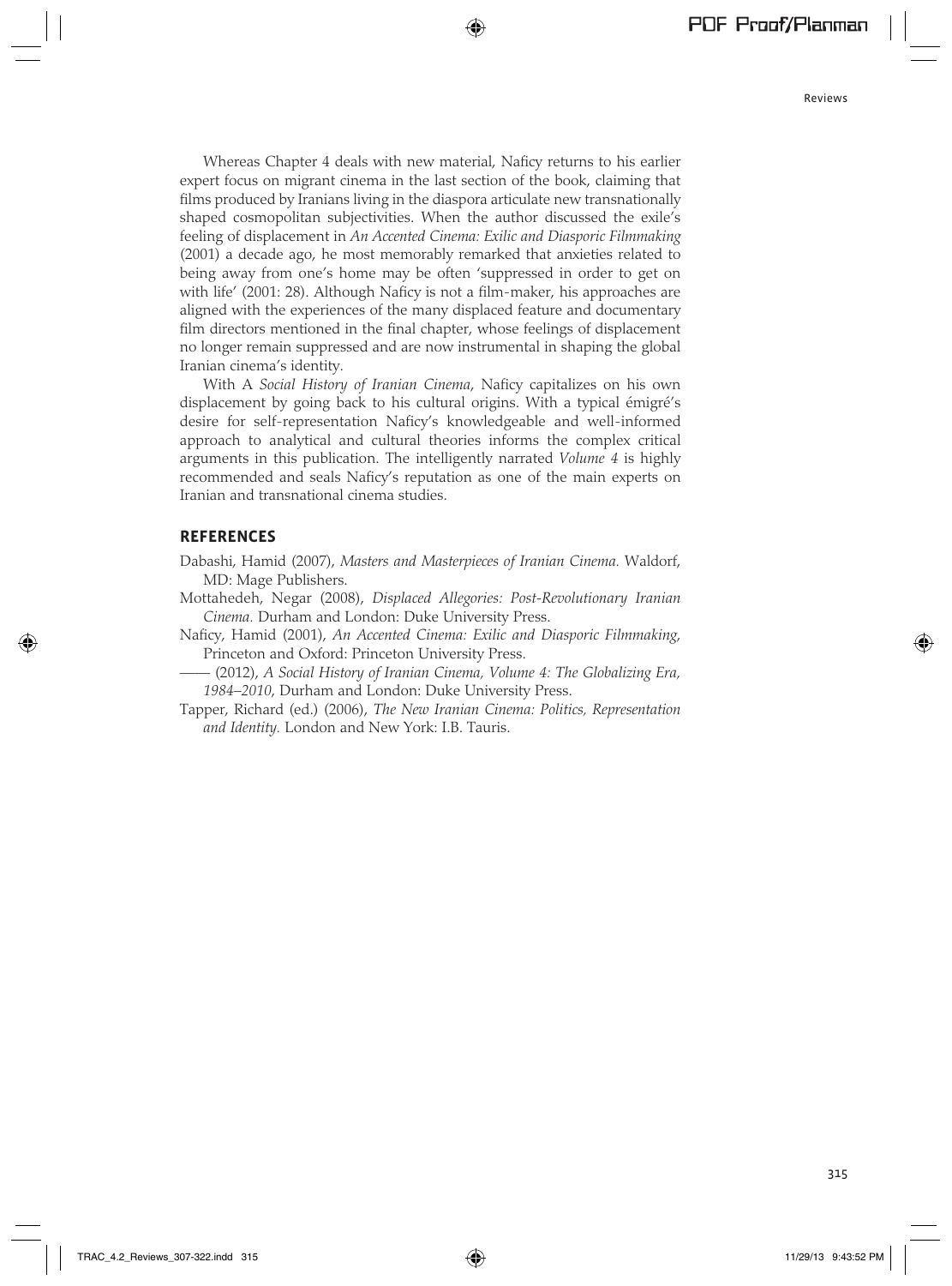Whereas Chapter 4 deals with new material, Naficy returns to his earlier expert focus on migrant cinema in the last section of the book, claiming that films produced by Iranians living in the diaspora articulate new transnationally shaped cosmopolitan subjectivities. When the author discussed the exile's feeling of displacement in *An Accented Cinema: Exilic and Diasporic Filmmaking* (2001) a decade ago, he most memorably remarked that anxieties related to being away from one's home may be often 'suppressed in order to get on with life' (2001: 28). Although Naficy is not a film-maker, his approaches are aligned with the experiences of the many displaced feature and documentary film directors mentioned in the final chapter, whose feelings of displacement no longer remain suppressed and are now instrumental in shaping the global Iranian cinema's identity.

With A *Social History of Iranian Cinema*, Naficy capitalizes on his own displacement by going back to his cultural origins. With a typical émigré's desire for self-representation Naficy's knowledgeable and well-informed approach to analytical and cultural theories informs the complex critical arguments in this publication. The intelligently narrated *Volume 4* is highly recommended and seals Naficy's reputation as one of the main experts on Iranian and transnational cinema studies.

#### **REFERENCES**

- Dabashi, Hamid (2007), *Masters and Masterpieces of Iranian Cinema.* Waldorf, MD: Mage Publishers.
- Mottahedeh, Negar (2008), *Displaced Allegories: Post-Revolutionary Iranian Cinema.* Durham and London: Duke University Press.
- Naficy, Hamid (2001), *An Accented Cinema: Exilic and Diasporic Filmmaking*, Princeton and Oxford: Princeton University Press.
- —— (2012), *A Social History of Iranian Cinema, Volume 4: The Globalizing Era, 1984–2010*, Durham and London: Duke University Press.
- Tapper, Richard (ed.) (2006), *The New Iranian Cinema: Politics, Representation and Identity.* London and New York: I.B. Tauris.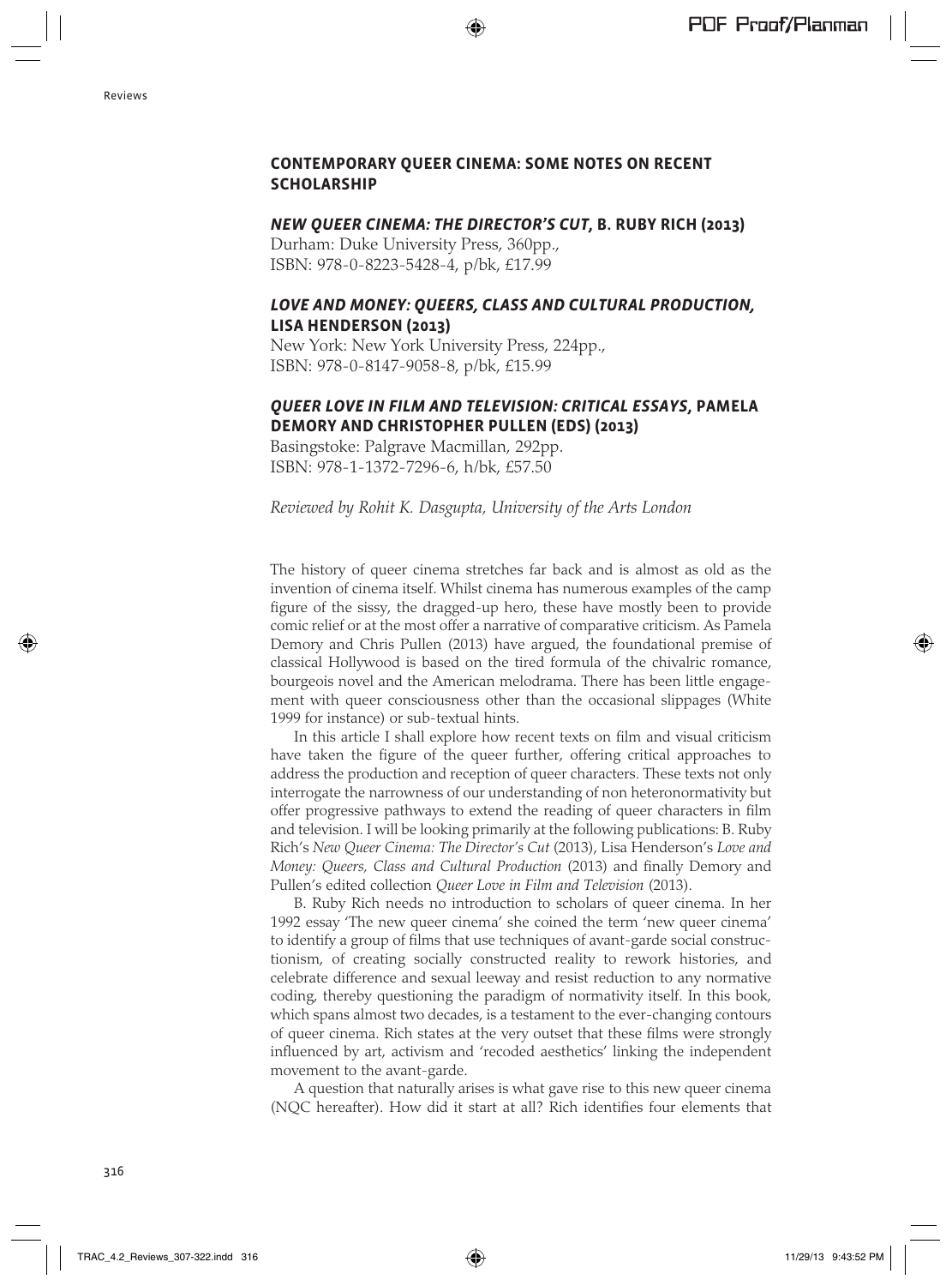### **Contemporary queer cinema: Some notes on recent scholarship**

#### *New Queer Cinema: The Director's Cut***, B. Ruby Rich (2013)**

Durham: Duke University Press, 360pp., ISBN: 978-0-8223-5428-4, p/bk, £17.99

## *Love and Money: Queers, Class and Cultural Production,* **Lisa Henderson (2013)**

New York: New York University Press, 224pp., ISBN: 978-0-8147-9058-8, p/bk, £15.99

## *Queer Love in Film and Television: Critical Essays***, Pamela Demory and Christopher Pullen (eds) (2013)**

Basingstoke: Palgrave Macmillan, 292pp. ISBN: 978-1-1372-7296-6, h/bk, £57.50

*Reviewed by Rohit K. Dasgupta, University of the Arts London*

The history of queer cinema stretches far back and is almost as old as the invention of cinema itself. Whilst cinema has numerous examples of the camp figure of the sissy, the dragged-up hero, these have mostly been to provide comic relief or at the most offer a narrative of comparative criticism. As Pamela Demory and Chris Pullen (2013) have argued, the foundational premise of classical Hollywood is based on the tired formula of the chivalric romance, bourgeois novel and the American melodrama. There has been little engagement with queer consciousness other than the occasional slippages (White 1999 for instance) or sub-textual hints.

In this article I shall explore how recent texts on film and visual criticism have taken the figure of the queer further, offering critical approaches to address the production and reception of queer characters. These texts not only interrogate the narrowness of our understanding of non heteronormativity but offer progressive pathways to extend the reading of queer characters in film and television. I will be looking primarily at the following publications: B. Ruby Rich's *New Queer Cinema: The Director's Cut* (2013), Lisa Henderson's *Love and Money: Queers, Class and Cultural Production* (2013) and finally Demory and Pullen's edited collection *Queer Love in Film and Television* (2013).

B. Ruby Rich needs no introduction to scholars of queer cinema. In her 1992 essay 'The new queer cinema' she coined the term 'new queer cinema' to identify a group of films that use techniques of avant-garde social constructionism, of creating socially constructed reality to rework histories, and celebrate difference and sexual leeway and resist reduction to any normative coding, thereby questioning the paradigm of normativity itself. In this book, which spans almost two decades, is a testament to the ever-changing contours of queer cinema. Rich states at the very outset that these films were strongly influenced by art, activism and 'recoded aesthetics' linking the independent movement to the avant-garde.

A question that naturally arises is what gave rise to this new queer cinema (NQC hereafter). How did it start at all? Rich identifies four elements that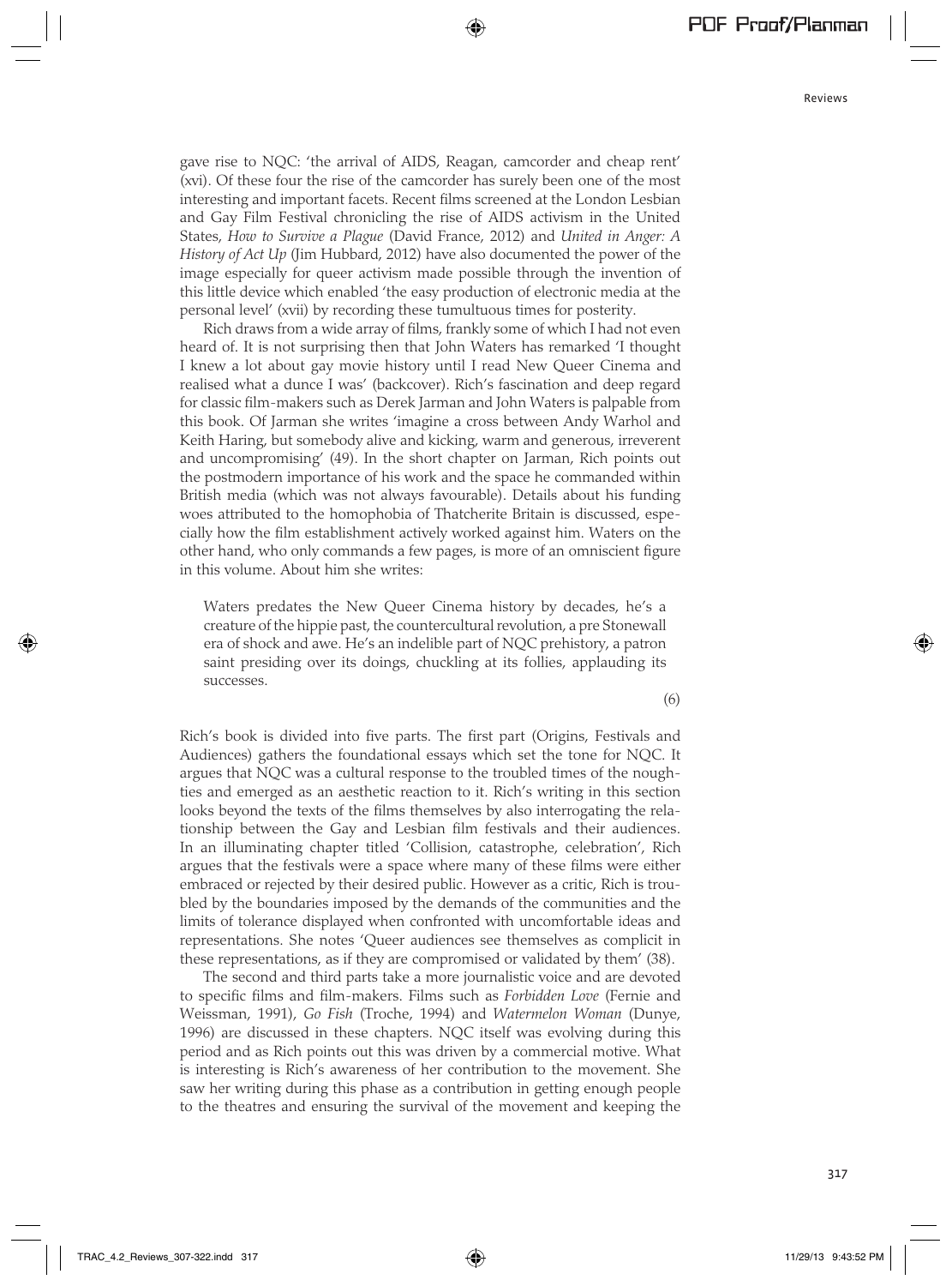gave rise to NQC: 'the arrival of AIDS, Reagan, camcorder and cheap rent' (xvi). Of these four the rise of the camcorder has surely been one of the most interesting and important facets. Recent films screened at the London Lesbian and Gay Film Festival chronicling the rise of AIDS activism in the United States, *How to Survive a Plague* (David France, 2012) and *United in Anger: A History of Act Up* (Jim Hubbard, 2012) have also documented the power of the image especially for queer activism made possible through the invention of this little device which enabled 'the easy production of electronic media at the personal level' (xvii) by recording these tumultuous times for posterity.

Rich draws from a wide array of films, frankly some of which I had not even heard of. It is not surprising then that John Waters has remarked 'I thought I knew a lot about gay movie history until I read New Queer Cinema and realised what a dunce I was' (backcover). Rich's fascination and deep regard for classic film-makers such as Derek Jarman and John Waters is palpable from this book. Of Jarman she writes 'imagine a cross between Andy Warhol and Keith Haring, but somebody alive and kicking, warm and generous, irreverent and uncompromising' (49). In the short chapter on Jarman, Rich points out the postmodern importance of his work and the space he commanded within British media (which was not always favourable). Details about his funding woes attributed to the homophobia of Thatcherite Britain is discussed, especially how the film establishment actively worked against him. Waters on the other hand, who only commands a few pages, is more of an omniscient figure in this volume. About him she writes:

Waters predates the New Queer Cinema history by decades, he's a creature of the hippie past, the countercultural revolution, a pre Stonewall era of shock and awe. He's an indelible part of NQC prehistory, a patron saint presiding over its doings, chuckling at its follies, applauding its successes.

(6)

Rich's book is divided into five parts. The first part (Origins, Festivals and Audiences) gathers the foundational essays which set the tone for NQC. It argues that NQC was a cultural response to the troubled times of the noughties and emerged as an aesthetic reaction to it. Rich's writing in this section looks beyond the texts of the films themselves by also interrogating the relationship between the Gay and Lesbian film festivals and their audiences. In an illuminating chapter titled 'Collision, catastrophe, celebration', Rich argues that the festivals were a space where many of these films were either embraced or rejected by their desired public. However as a critic, Rich is troubled by the boundaries imposed by the demands of the communities and the limits of tolerance displayed when confronted with uncomfortable ideas and representations. She notes 'Queer audiences see themselves as complicit in these representations, as if they are compromised or validated by them' (38).

The second and third parts take a more journalistic voice and are devoted to specific films and film-makers. Films such as *Forbidden Love* (Fernie and Weissman, 1991), *Go Fish* (Troche, 1994) and *Watermelon Woman* (Dunye, 1996) are discussed in these chapters. NQC itself was evolving during this period and as Rich points out this was driven by a commercial motive. What is interesting is Rich's awareness of her contribution to the movement. She saw her writing during this phase as a contribution in getting enough people to the theatres and ensuring the survival of the movement and keeping the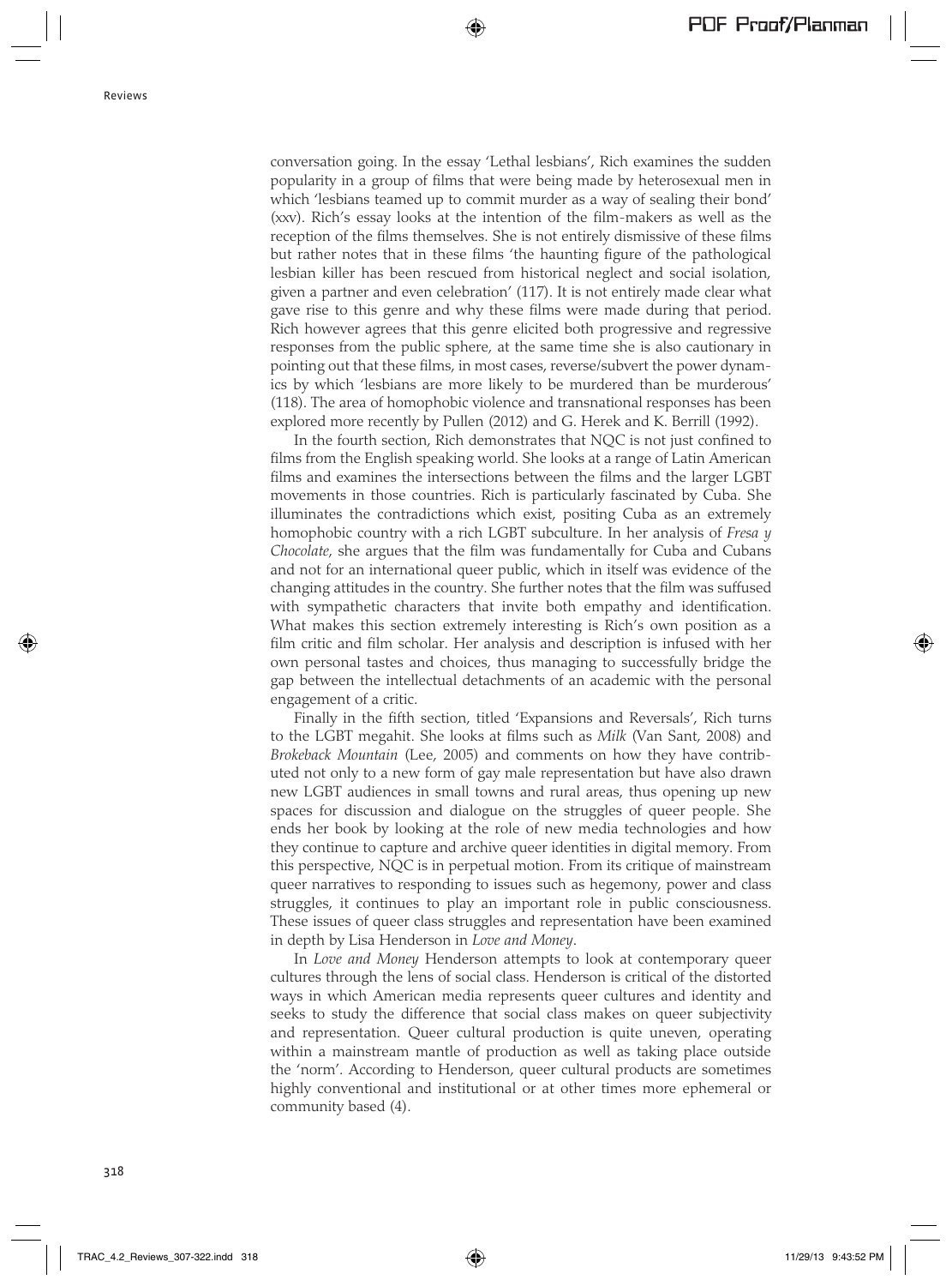conversation going. In the essay 'Lethal lesbians', Rich examines the sudden popularity in a group of films that were being made by heterosexual men in which 'lesbians teamed up to commit murder as a way of sealing their bond' (xxv). Rich's essay looks at the intention of the film-makers as well as the reception of the films themselves. She is not entirely dismissive of these films but rather notes that in these films 'the haunting figure of the pathological lesbian killer has been rescued from historical neglect and social isolation, given a partner and even celebration' (117). It is not entirely made clear what gave rise to this genre and why these films were made during that period. Rich however agrees that this genre elicited both progressive and regressive responses from the public sphere, at the same time she is also cautionary in pointing out that these films, in most cases, reverse/subvert the power dynamics by which 'lesbians are more likely to be murdered than be murderous' (118). The area of homophobic violence and transnational responses has been explored more recently by Pullen (2012) and G. Herek and K. Berrill (1992).

In the fourth section, Rich demonstrates that NQC is not just confined to films from the English speaking world. She looks at a range of Latin American films and examines the intersections between the films and the larger LGBT movements in those countries. Rich is particularly fascinated by Cuba. She illuminates the contradictions which exist, positing Cuba as an extremely homophobic country with a rich LGBT subculture. In her analysis of *Fresa y Chocolate*, she argues that the film was fundamentally for Cuba and Cubans and not for an international queer public, which in itself was evidence of the changing attitudes in the country. She further notes that the film was suffused with sympathetic characters that invite both empathy and identification. What makes this section extremely interesting is Rich's own position as a film critic and film scholar. Her analysis and description is infused with her own personal tastes and choices, thus managing to successfully bridge the gap between the intellectual detachments of an academic with the personal engagement of a critic.

Finally in the fifth section, titled 'Expansions and Reversals', Rich turns to the LGBT megahit. She looks at films such as *Milk* (Van Sant, 2008) and *Brokeback Mountain* (Lee, 2005) and comments on how they have contributed not only to a new form of gay male representation but have also drawn new LGBT audiences in small towns and rural areas, thus opening up new spaces for discussion and dialogue on the struggles of queer people. She ends her book by looking at the role of new media technologies and how they continue to capture and archive queer identities in digital memory. From this perspective, NQC is in perpetual motion. From its critique of mainstream queer narratives to responding to issues such as hegemony, power and class struggles, it continues to play an important role in public consciousness. These issues of queer class struggles and representation have been examined in depth by Lisa Henderson in *Love and Money*.

In *Love and Money* Henderson attempts to look at contemporary queer cultures through the lens of social class. Henderson is critical of the distorted ways in which American media represents queer cultures and identity and seeks to study the difference that social class makes on queer subjectivity and representation. Queer cultural production is quite uneven, operating within a mainstream mantle of production as well as taking place outside the 'norm'. According to Henderson, queer cultural products are sometimes highly conventional and institutional or at other times more ephemeral or community based (4).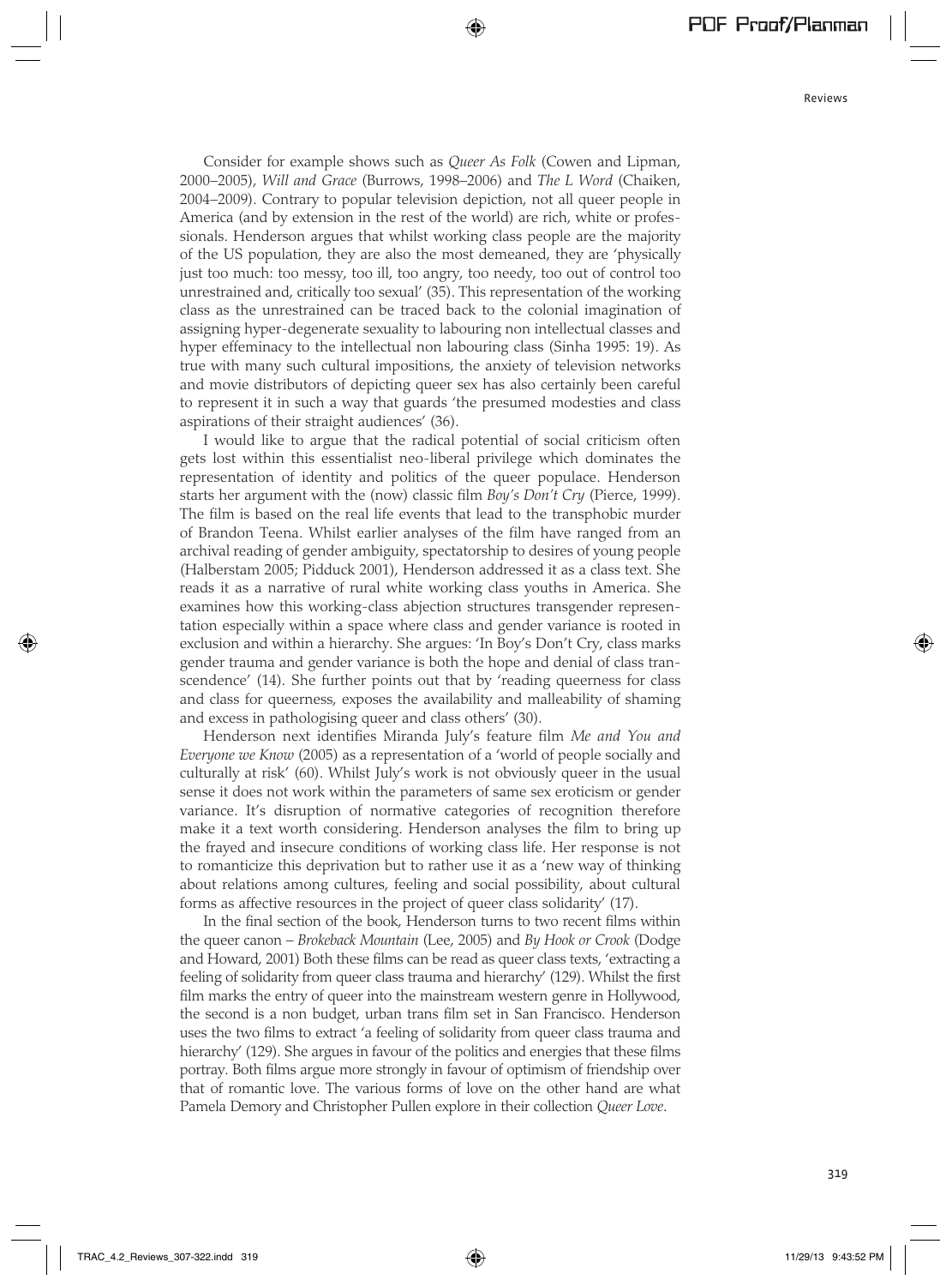Consider for example shows such as *Queer As Folk* (Cowen and Lipman, 2000–2005), *Will and Grace* (Burrows, 1998–2006) and *The L Word* (Chaiken, 2004–2009). Contrary to popular television depiction, not all queer people in America (and by extension in the rest of the world) are rich, white or professionals. Henderson argues that whilst working class people are the majority of the US population, they are also the most demeaned, they are 'physically just too much: too messy, too ill, too angry, too needy, too out of control too unrestrained and, critically too sexual' (35). This representation of the working class as the unrestrained can be traced back to the colonial imagination of assigning hyper-degenerate sexuality to labouring non intellectual classes and hyper effeminacy to the intellectual non labouring class (Sinha 1995: 19). As true with many such cultural impositions, the anxiety of television networks and movie distributors of depicting queer sex has also certainly been careful to represent it in such a way that guards 'the presumed modesties and class aspirations of their straight audiences' (36).

I would like to argue that the radical potential of social criticism often gets lost within this essentialist neo-liberal privilege which dominates the representation of identity and politics of the queer populace. Henderson starts her argument with the (now) classic film *Boy's Don't Cry* (Pierce, 1999). The film is based on the real life events that lead to the transphobic murder of Brandon Teena. Whilst earlier analyses of the film have ranged from an archival reading of gender ambiguity, spectatorship to desires of young people (Halberstam 2005; Pidduck 2001), Henderson addressed it as a class text. She reads it as a narrative of rural white working class youths in America. She examines how this working-class abjection structures transgender representation especially within a space where class and gender variance is rooted in exclusion and within a hierarchy. She argues: 'In Boy's Don't Cry, class marks gender trauma and gender variance is both the hope and denial of class transcendence' (14). She further points out that by 'reading queerness for class and class for queerness, exposes the availability and malleability of shaming and excess in pathologising queer and class others' (30).

Henderson next identifies Miranda July's feature film *Me and You and Everyone we Know* (2005) as a representation of a 'world of people socially and culturally at risk' (60). Whilst July's work is not obviously queer in the usual sense it does not work within the parameters of same sex eroticism or gender variance. It's disruption of normative categories of recognition therefore make it a text worth considering. Henderson analyses the film to bring up the frayed and insecure conditions of working class life. Her response is not to romanticize this deprivation but to rather use it as a 'new way of thinking about relations among cultures, feeling and social possibility, about cultural forms as affective resources in the project of queer class solidarity' (17).

In the final section of the book, Henderson turns to two recent films within the queer canon – *Brokeback Mountain* (Lee, 2005) and *By Hook or Crook* (Dodge and Howard, 2001) Both these films can be read as queer class texts, 'extracting a feeling of solidarity from queer class trauma and hierarchy' (129). Whilst the first film marks the entry of queer into the mainstream western genre in Hollywood, the second is a non budget, urban trans film set in San Francisco. Henderson uses the two films to extract 'a feeling of solidarity from queer class trauma and hierarchy' (129). She argues in favour of the politics and energies that these films portray. Both films argue more strongly in favour of optimism of friendship over that of romantic love. The various forms of love on the other hand are what Pamela Demory and Christopher Pullen explore in their collection *Queer Love*.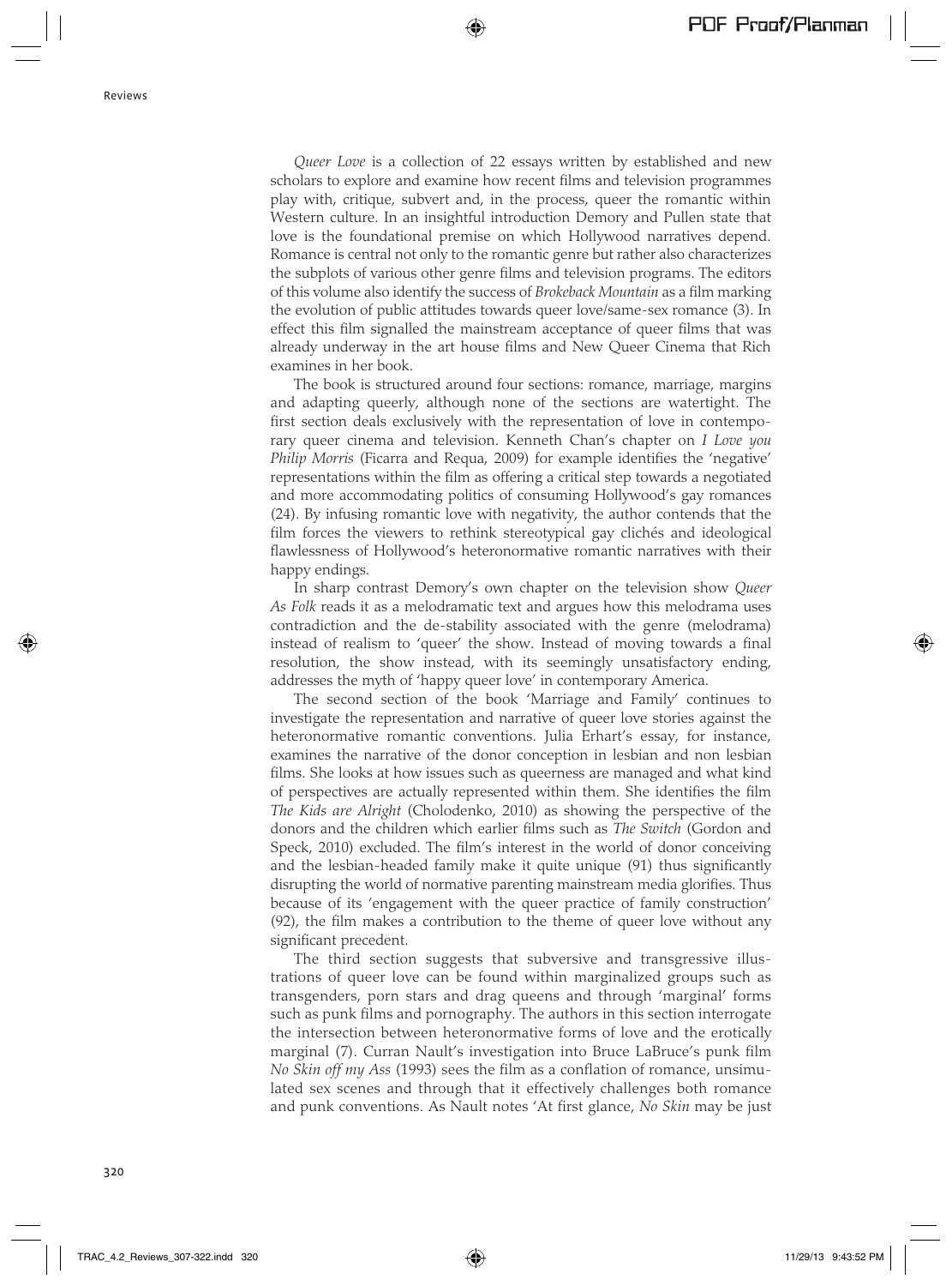*Queer Love* is a collection of 22 essays written by established and new scholars to explore and examine how recent films and television programmes play with, critique, subvert and, in the process, queer the romantic within Western culture. In an insightful introduction Demory and Pullen state that love is the foundational premise on which Hollywood narratives depend. Romance is central not only to the romantic genre but rather also characterizes the subplots of various other genre films and television programs. The editors of this volume also identify the success of *Brokeback Mountain* as a film marking the evolution of public attitudes towards queer love/same-sex romance (3). In effect this film signalled the mainstream acceptance of queer films that was already underway in the art house films and New Queer Cinema that Rich examines in her book.

The book is structured around four sections: romance, marriage, margins and adapting queerly, although none of the sections are watertight. The first section deals exclusively with the representation of love in contemporary queer cinema and television. Kenneth Chan's chapter on *I Love you Philip Morris* (Ficarra and Requa, 2009) for example identifies the 'negative' representations within the film as offering a critical step towards a negotiated and more accommodating politics of consuming Hollywood's gay romances (24). By infusing romantic love with negativity, the author contends that the film forces the viewers to rethink stereotypical gay clichés and ideological flawlessness of Hollywood's heteronormative romantic narratives with their happy endings.

In sharp contrast Demory's own chapter on the television show *Queer As Folk* reads it as a melodramatic text and argues how this melodrama uses contradiction and the de-stability associated with the genre (melodrama) instead of realism to 'queer' the show. Instead of moving towards a final resolution, the show instead, with its seemingly unsatisfactory ending, addresses the myth of 'happy queer love' in contemporary America.

The second section of the book 'Marriage and Family' continues to investigate the representation and narrative of queer love stories against the heteronormative romantic conventions. Julia Erhart's essay, for instance, examines the narrative of the donor conception in lesbian and non lesbian films. She looks at how issues such as queerness are managed and what kind of perspectives are actually represented within them. She identifies the film *The Kids are Alright* (Cholodenko, 2010) as showing the perspective of the donors and the children which earlier films such as *The Switch* (Gordon and Speck, 2010) excluded. The film's interest in the world of donor conceiving and the lesbian-headed family make it quite unique (91) thus significantly disrupting the world of normative parenting mainstream media glorifies. Thus because of its 'engagement with the queer practice of family construction' (92), the film makes a contribution to the theme of queer love without any significant precedent.

The third section suggests that subversive and transgressive illustrations of queer love can be found within marginalized groups such as transgenders, porn stars and drag queens and through 'marginal' forms such as punk films and pornography. The authors in this section interrogate the intersection between heteronormative forms of love and the erotically marginal (7). Curran Nault's investigation into Bruce LaBruce's punk film *No Skin off my Ass* (1993) sees the film as a conflation of romance, unsimulated sex scenes and through that it effectively challenges both romance and punk conventions. As Nault notes 'At first glance, *No Skin* may be just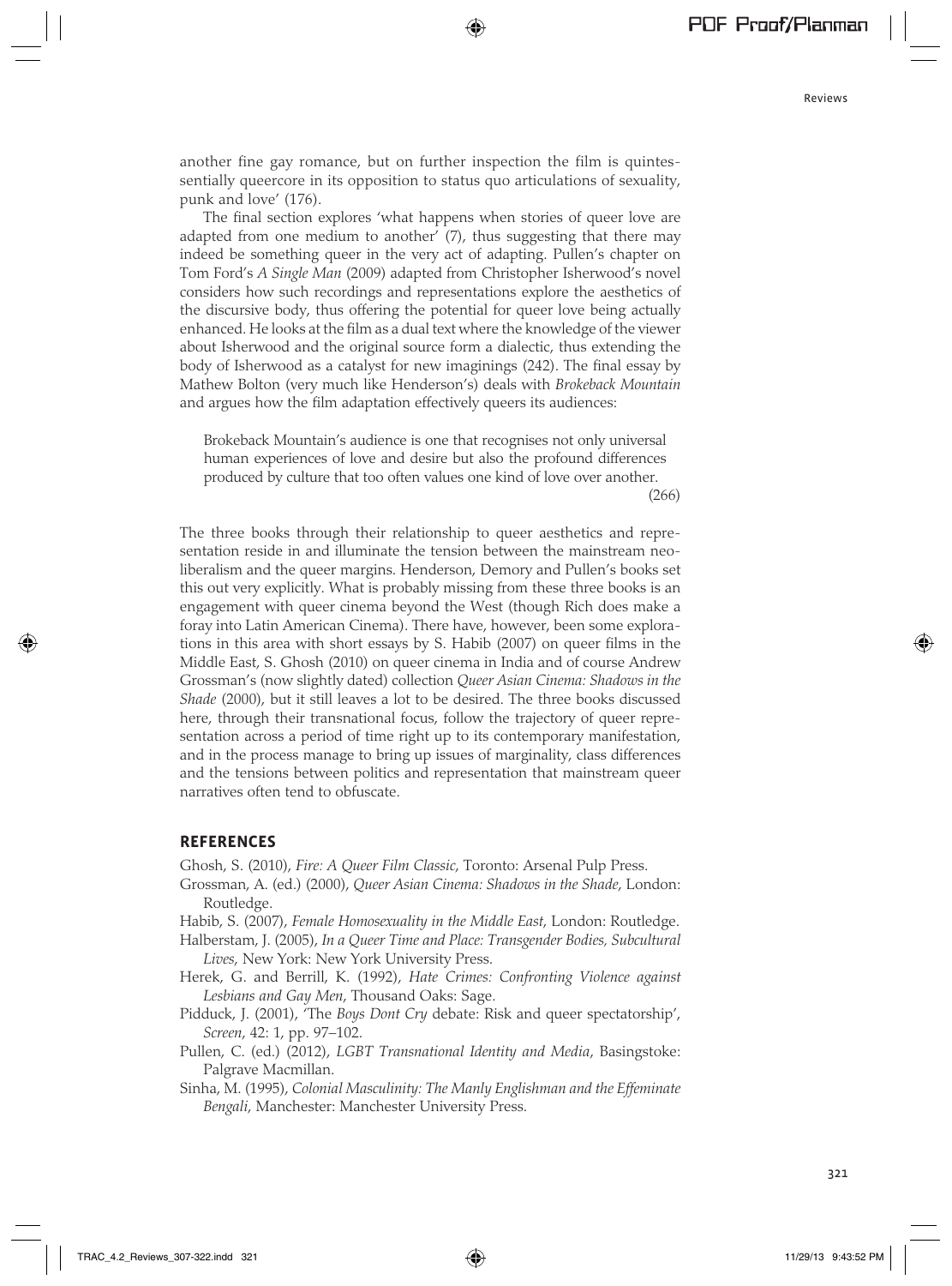another fine gay romance, but on further inspection the film is quintessentially queercore in its opposition to status quo articulations of sexuality, punk and love' (176).

The final section explores 'what happens when stories of queer love are adapted from one medium to another' (7), thus suggesting that there may indeed be something queer in the very act of adapting. Pullen's chapter on Tom Ford's *A Single Man* (2009) adapted from Christopher Isherwood's novel considers how such recordings and representations explore the aesthetics of the discursive body, thus offering the potential for queer love being actually enhanced. He looks at the film as a dual text where the knowledge of the viewer about Isherwood and the original source form a dialectic, thus extending the body of Isherwood as a catalyst for new imaginings (242). The final essay by Mathew Bolton (very much like Henderson's) deals with *Brokeback Mountain* and argues how the film adaptation effectively queers its audiences:

Brokeback Mountain's audience is one that recognises not only universal human experiences of love and desire but also the profound differences produced by culture that too often values one kind of love over another.

(266)

The three books through their relationship to queer aesthetics and representation reside in and illuminate the tension between the mainstream neoliberalism and the queer margins. Henderson, Demory and Pullen's books set this out very explicitly. What is probably missing from these three books is an engagement with queer cinema beyond the West (though Rich does make a foray into Latin American Cinema). There have, however, been some explorations in this area with short essays by S. Habib (2007) on queer films in the Middle East, S. Ghosh (2010) on queer cinema in India and of course Andrew Grossman's (now slightly dated) collection *Queer Asian Cinema: Shadows in the Shade* (2000), but it still leaves a lot to be desired. The three books discussed here, through their transnational focus, follow the trajectory of queer representation across a period of time right up to its contemporary manifestation, and in the process manage to bring up issues of marginality, class differences and the tensions between politics and representation that mainstream queer narratives often tend to obfuscate.

#### **References**

Ghosh, S. (2010), *Fire: A Queer Film Classic*, Toronto: Arsenal Pulp Press.

- Grossman, A. (ed.) (2000), *Queer Asian Cinema: Shadows in the Shade*, London: Routledge.
- Habib, S. (2007), *Female Homosexuality in the Middle East*, London: Routledge.
- Halberstam, J. (2005), *In a Queer Time and Place: Transgender Bodies, Subcultural Lives*, New York: New York University Press.
- Herek, G. and Berrill, K. (1992), *Hate Crimes: Confronting Violence against Lesbians and Gay Men*, Thousand Oaks: Sage.
- Pidduck, J. (2001), 'The *Boys Dont Cry* debate: Risk and queer spectatorship', *Screen*, 42: 1, pp. 97–102.
- Pullen, C. (ed.) (2012), *LGBT Transnational Identity and Media*, Basingstoke: Palgrave Macmillan.
- Sinha, M. (1995), *Colonial Masculinity: The Manly Englishman and the Effeminate Bengali*, Manchester: Manchester University Press.